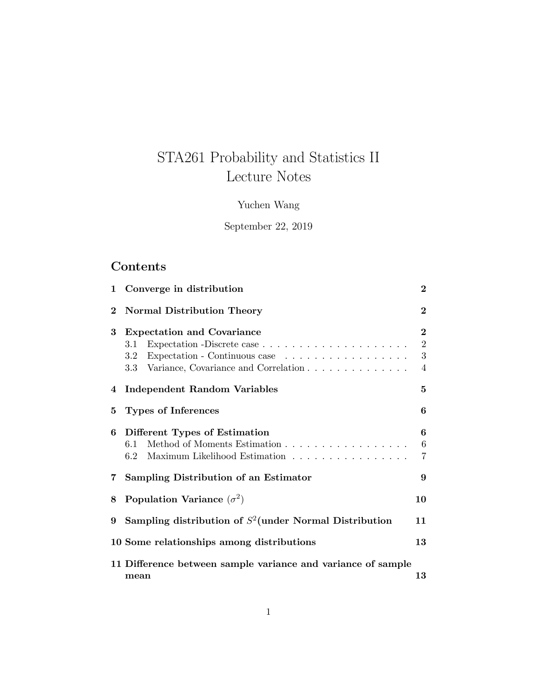# STA261 Probability and Statistics II Lecture Notes

# Yuchen Wang

## September 22, 2019

# Contents

| 1           | Converge in distribution                                                                                                               | $\bf{2}$                               |
|-------------|----------------------------------------------------------------------------------------------------------------------------------------|----------------------------------------|
| $\bf{2}$    | <b>Normal Distribution Theory</b>                                                                                                      | $\overline{2}$                         |
| 3           | <b>Expectation and Covariance</b><br>3.1<br>Expectation - Continuous case<br>$3.2^{\circ}$<br>3.3 Variance, Covariance and Correlation | $\overline{2}$<br>$\sqrt{2}$<br>3<br>4 |
| 4           | <b>Independent Random Variables</b>                                                                                                    | $\mathbf{5}$                           |
| 5           | <b>Types of Inferences</b>                                                                                                             | 6                                      |
| 6           | Different Types of Estimation<br>Method of Moments Estimation<br>6.1<br>Maximum Likelihood Estimation<br>6.2                           | 6<br>$\,6\,$<br>$\overline{7}$         |
| $7^{\circ}$ | Sampling Distribution of an Estimator                                                                                                  | 9                                      |
| 8           | Population Variance $(\sigma^2)$                                                                                                       | 10                                     |
| 9           | Sampling distribution of $S^2$ (under Normal Distribution                                                                              | 11                                     |
|             | 10 Some relationships among distributions                                                                                              | 13                                     |
|             | 11 Difference between sample variance and variance of sample<br>mean                                                                   | 13                                     |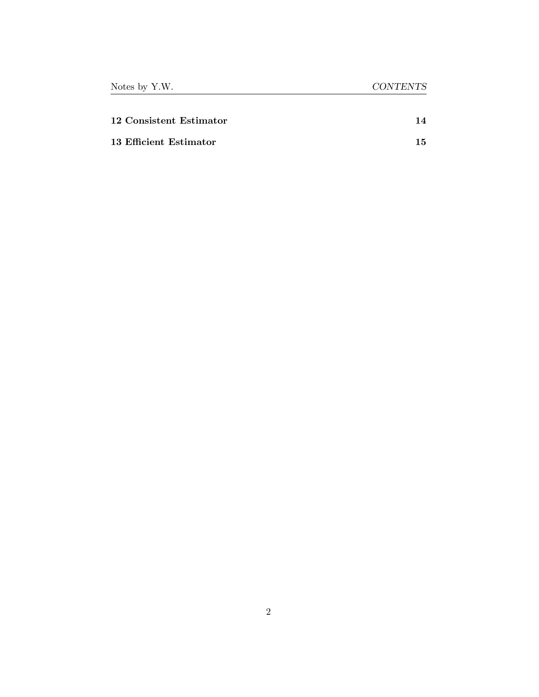| 12 Consistent Estimator | 14 |
|-------------------------|----|
| 13 Efficient Estimator  | 15 |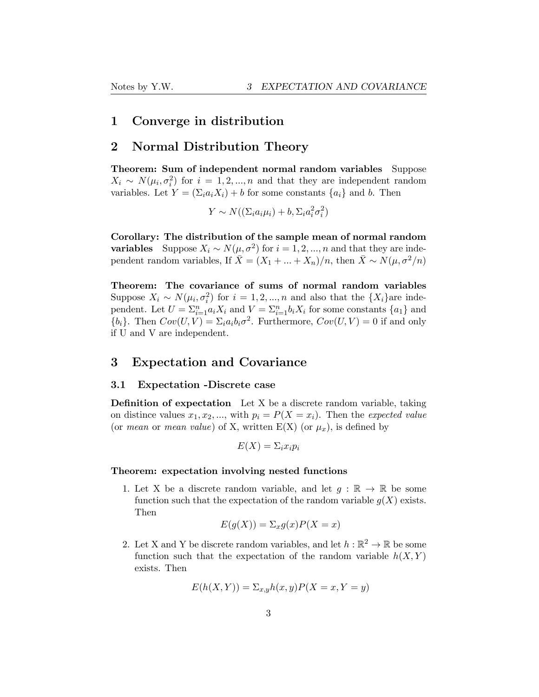### <span id="page-2-0"></span>1 Converge in distribution

### <span id="page-2-1"></span>2 Normal Distribution Theory

Theorem: Sum of independent normal random variables Suppose  $X_i \sim N(\mu_i, \sigma_i^2)$  for  $i = 1, 2, ..., n$  and that they are independent random variables. Let  $Y = (\sum_i a_i X_i) + b$  for some constants  $\{a_i\}$  and *b*. Then

 $Y \sim N((\Sigma_i a_i \mu_i) + b, \Sigma_i a_i^2 \sigma_i^2)$ 

Corollary: The distribution of the sample mean of normal random **variables** Suppose *X<sub>i</sub>* ∼ *N*( $\mu$ ,  $\sigma$ <sup>2</sup>) for *i* = 1, 2, ..., *n* and that they are independent random variables, If  $\bar{X} = (X_1 + ... + X_n)/n$ , then  $\bar{X} \sim N(\mu, \sigma^2/n)$ 

Theorem: The covariance of sums of normal random variables Suppose  $X_i \sim N(\mu_i, \sigma_i^2)$  for  $i = 1, 2, ..., n$  and also that the  $\{X_i\}$ are independent. Let  $U = \sum_{i=1}^{n} a_i X_i$  and  $V = \sum_{i=1}^{n} b_i X_i$  for some constants  $\{a_1\}$  and  ${b_i}$ . Then  $Cov(U, V) = \sum_i a_i b_i \sigma^2$ . Furthermore,  $Cov(U, V) = 0$  if and only if U and V are independent.

### <span id="page-2-2"></span>3 Expectation and Covariance

### <span id="page-2-3"></span>3.1 Expectation -Discrete case

Definition of expectation Let X be a discrete random variable, taking on distince values  $x_1, x_2, \ldots$ , with  $p_i = P(X = x_i)$ . Then the *expected value* (or *mean* or *mean value*) of X, written  $E(X)$  (or  $\mu_x$ ), is defined by

$$
E(X) = \sum_i x_i p_i
$$

#### Theorem: expectation involving nested functions

1. Let X be a discrete random variable, and let  $g : \mathbb{R} \to \mathbb{R}$  be some function such that the expectation of the random variable  $g(X)$  exists. Then

$$
E(g(X)) = \sum_{x} g(x)P(X = x)
$$

2. Let X and Y be discrete random variables, and let  $h : \mathbb{R}^2 \to \mathbb{R}$  be some function such that the expectation of the random variable  $h(X, Y)$ exists. Then

$$
E(h(X, Y)) = \sum_{x,y} h(x,y)P(X=x, Y=y)
$$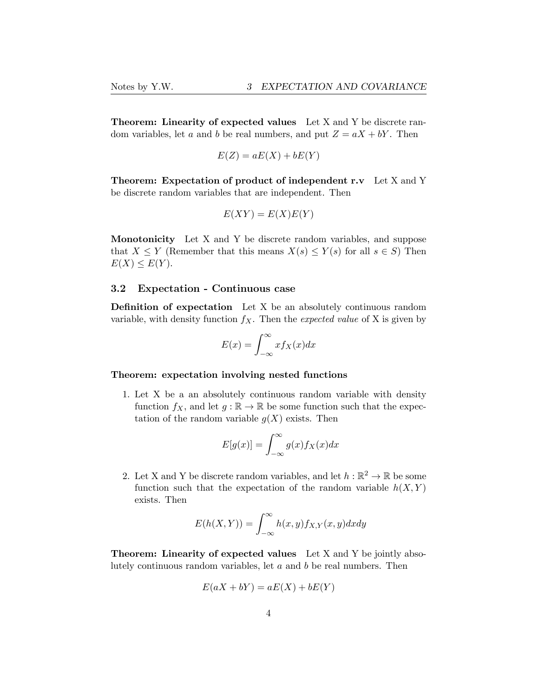Theorem: Linearity of expected values Let X and Y be discrete random variables, let *a* and *b* be real numbers, and put  $Z = aX + bY$ . Then

$$
E(Z) = aE(X) + bE(Y)
$$

Theorem: Expectation of product of independent r.v Let X and Y be discrete random variables that are independent. Then

$$
E(XY) = E(X)E(Y)
$$

Monotonicity Let X and Y be discrete random variables, and suppose that  $X \leq Y$  (Remember that this means  $X(s) \leq Y(s)$  for all  $s \in S$ ) Then  $E(X) \leq E(Y)$ .

### <span id="page-3-0"></span>3.2 Expectation - Continuous case

Definition of expectation Let X be an absolutely continuous random variable, with density function  $f_X$ . Then the *expected value* of X is given by

$$
E(x) = \int_{-\infty}^{\infty} x f_X(x) dx
$$

#### Theorem: expectation involving nested functions

1. Let X be a an absolutely continuous random variable with density function  $f_X$ , and let  $g : \mathbb{R} \to \mathbb{R}$  be some function such that the expectation of the random variable  $g(X)$  exists. Then

$$
E[g(x)] = \int_{-\infty}^{\infty} g(x) f_X(x) dx
$$

2. Let X and Y be discrete random variables, and let  $h : \mathbb{R}^2 \to \mathbb{R}$  be some function such that the expectation of the random variable  $h(X, Y)$ exists. Then

$$
E(h(X, Y)) = \int_{-\infty}^{\infty} h(x, y) f_{X,Y}(x, y) dx dy
$$

Theorem: Linearity of expected values Let X and Y be jointly absolutely continuous random variables, let *a* and *b* be real numbers. Then

$$
E(aX + bY) = aE(X) + bE(Y)
$$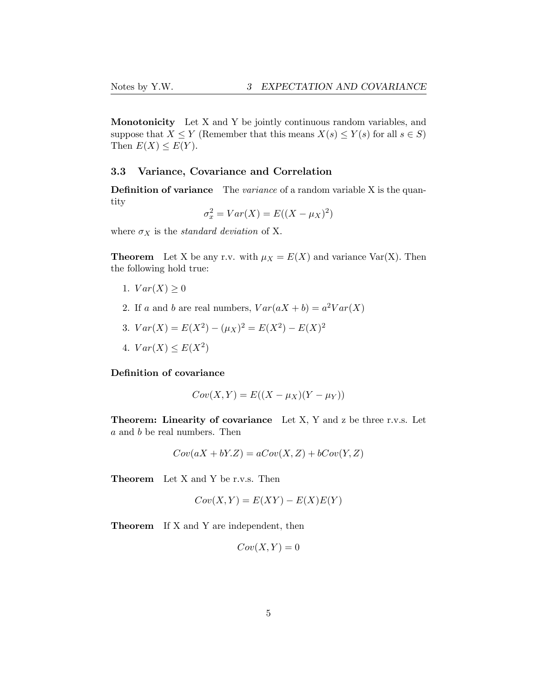Monotonicity Let X and Y be jointly continuous random variables, and suppose that *X*  $\leq$  *Y* (Remember that this means *X*(*s*)  $\leq$  *Y*(*s*) for all *s*  $\in$  *S*) Then  $E(X) \leq E(Y)$ .

### <span id="page-4-0"></span>3.3 Variance, Covariance and Correlation

Definition of variance The *variance* of a random variable X is the quantity

$$
\sigma_x^2 = Var(X) = E((X - \mu_X)^2)
$$

where  $\sigma_X$  is the *standard deviation* of X.

**Theorem** Let X be any r.v. with  $\mu_X = E(X)$  and variance Var(X). Then the following hold true:

- 1.  $Var(X) \ge 0$
- 2. If *a* and *b* are real numbers,  $Var(aX + b) = a^2Var(X)$
- 3.  $Var(X) = E(X^2) (\mu_X)^2 = E(X^2) E(X)^2$
- 4.  $Var(X) \le E(X^2)$

### Definition of covariance

$$
Cov(X,Y) = E((X - \mu_X)(Y - \mu_Y))
$$

Theorem: Linearity of covariance Let X, Y and z be three r.v.s. Let *a* and *b* be real numbers. Then

$$
Cov(aX + bY.Z) = aCov(X, Z) + bCov(Y, Z)
$$

Theorem Let X and Y be r.v.s. Then

$$
Cov(X,Y) = E(XY) - E(X)E(Y)
$$

Theorem If X and Y are independent, then

$$
Cov(X,Y) = 0
$$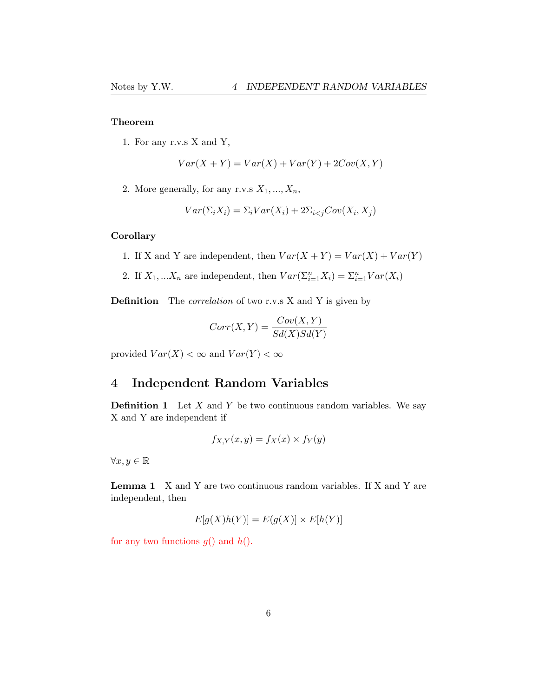### Theorem

1. For any r.v.s X and Y,

$$
Var(X + Y) = Var(X) + Var(Y) + 2Cov(X, Y)
$$

2. More generally, for any r.v.s  $X_1, ..., X_n$ ,

$$
Var(\Sigma_i X_i) = \Sigma_i Var(X_i) + 2\Sigma_{i < j} Cov(X_i, X_j)
$$

#### **Corollary**

- 1. If X and Y are independent, then  $Var(X + Y) = Var(X) + Var(Y)$
- 2. If  $X_1, \ldots, X_n$  are independent, then  $Var(\sum_{i=1}^n X_i) = \sum_{i=1}^n Var(X_i)$

Definition The *correlation* of two r.v.s X and Y is given by

$$
Corr(X, Y) = \frac{Cov(X, Y)}{Sd(X)Sd(Y)}
$$

provided  $Var(X) < \infty$  and  $Var(Y) < \infty$ 

## <span id="page-5-0"></span>4 Independent Random Variables

Definition 1 Let *X* and *Y* be two continuous random variables. We say X and Y are independent if

$$
f_{X,Y}(x,y) = f_X(x) \times f_Y(y)
$$

 $\forall x, y \in \mathbb{R}$ 

Lemma 1 X and Y are two continuous random variables. If X and Y are independent, then

$$
E[g(X)h(Y)] = E(g(X)] \times E[h(Y)]
$$

for any two functions *g*() and *h*().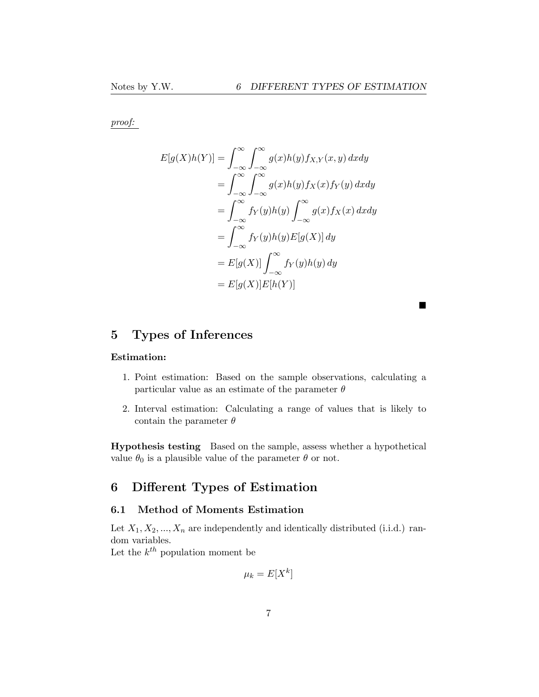$\blacksquare$ 

*proof:*

$$
E[g(X)h(Y)] = \int_{-\infty}^{\infty} \int_{-\infty}^{\infty} g(x)h(y) f_{X,Y}(x, y) dx dy
$$
  
\n
$$
= \int_{-\infty}^{\infty} \int_{-\infty}^{\infty} g(x)h(y) f_X(x) f_Y(y) dx dy
$$
  
\n
$$
= \int_{-\infty}^{\infty} f_Y(y)h(y) \int_{-\infty}^{\infty} g(x) f_X(x) dx dy
$$
  
\n
$$
= \int_{-\infty}^{\infty} f_Y(y)h(y) E[g(X)] dy
$$
  
\n
$$
= E[g(X)] \int_{-\infty}^{\infty} f_Y(y)h(y) dy
$$
  
\n
$$
= E[g(X)] E[h(Y)]
$$

<span id="page-6-0"></span>5 Types of Inferences

### Estimation:

- 1. Point estimation: Based on the sample observations, calculating a particular value as an estimate of the parameter  $\theta$
- 2. Interval estimation: Calculating a range of values that is likely to contain the parameter  $\theta$

Hypothesis testing Based on the sample, assess whether a hypothetical value  $\theta_0$  is a plausible value of the parameter  $\theta$  or not.

# <span id="page-6-1"></span>6 Different Types of Estimation

### <span id="page-6-2"></span>6.1 Method of Moments Estimation

Let  $X_1, X_2, \ldots, X_n$  are independently and identically distributed (i.i.d.) random variables.

Let the  $k^{th}$  population moment be

$$
\mu_k = E[X^k]
$$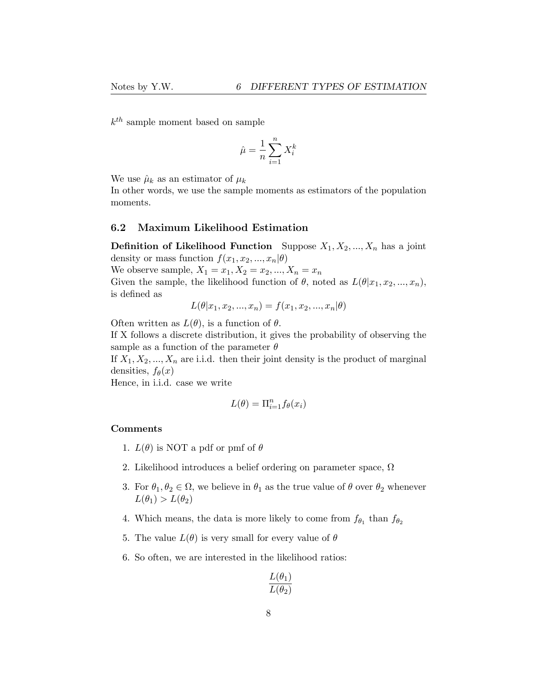*kth* sample moment based on sample

$$
\hat{\mu} = \frac{1}{n} \sum_{i=1}^{n} X_i^k
$$

We use  $\hat{\mu}_k$  as an estimator of  $\mu_k$ 

In other words, we use the sample moments as estimators of the population moments.

### <span id="page-7-0"></span>6.2 Maximum Likelihood Estimation

**Definition of Likelihood Function** Suppose  $X_1, X_2, ..., X_n$  has a joint density or mass function  $f(x_1, x_2, \ldots, x_n | \theta)$ 

We observe sample,  $X_1 = x_1, X_2 = x_2, ..., X_n = x_n$ 

Given the sample, the likelihood function of  $\theta$ , noted as  $L(\theta|x_1, x_2, ..., x_n)$ , is defined as

$$
L(\theta | x_1, x_2, ..., x_n) = f(x_1, x_2, ..., x_n | \theta)
$$

Often written as  $L(\theta)$ , is a function of  $\theta$ .

If X follows a discrete distribution, it gives the probability of observing the sample as a function of the parameter  $\theta$ 

If  $X_1, X_2, \ldots, X_n$  are i.i.d. then their joint density is the product of marginal densities,  $f_{\theta}(x)$ 

Hence, in i.i.d. case we write

$$
L(\theta) = \Pi_{i=1}^n f_{\theta}(x_i)
$$

### Comments

- 1.  $L(\theta)$  is NOT a pdf or pmf of  $\theta$
- 2. Likelihood introduces a belief ordering on parameter space,  $\Omega$
- 3. For  $\theta_1, \theta_2 \in \Omega$ , we believe in  $\theta_1$  as the true value of  $\theta$  over  $\theta_2$  whenever  $L(\theta_1) > L(\theta_2)$
- 4. Which means, the data is more likely to come from  $f_{\theta_1}$  than  $f_{\theta_2}$
- 5. The value  $L(\theta)$  is very small for every value of  $\theta$
- 6. So often, we are interested in the likelihood ratios:

$$
\frac{L(\theta_1)}{L(\theta_2)}
$$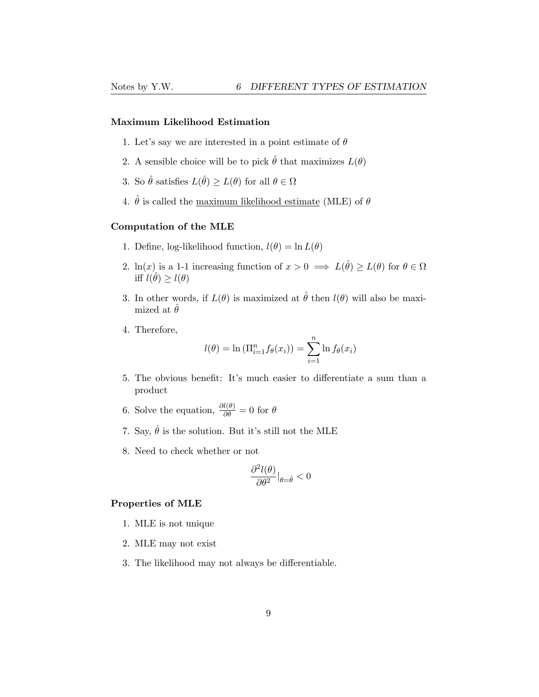#### Maximum Likelihood Estimation

- 1. Let's say we are interested in a point estimate of  $\theta$
- 2. A sensible choice will be to pick  $\hat{\theta}$  that maximizes  $L(\theta)$
- 3. So  $\hat{\theta}$  satisfies  $L(\hat{\theta}) \ge L(\theta)$  for all  $\theta \in \Omega$
- 4.  $\hat{\theta}$  is called the maximum likelihood estimate (MLE) of  $\theta$

### Computation of the MLE

- 1. Define, log-likelihood function,  $l(\theta) = \ln L(\theta)$
- 2.  $\ln(x)$  is a 1-1 increasing function of  $x > 0 \implies L(\hat{\theta}) \ge L(\theta)$  for  $\theta \in \Omega$ iff  $l(\hat{\theta}) \geq l(\theta)$
- 3. In other words, if  $L(\theta)$  is maximized at  $\hat{\theta}$  then  $l(\theta)$  will also be maximized at  $\ddot{\theta}$
- 4. Therefore,

$$
l(\theta) = \ln \left( \prod_{i=1}^{n} f_{\theta}(x_i) \right) = \sum_{i=1}^{n} \ln f_{\theta}(x_i)
$$

- 5. The obvious benefit: It's much easier to differentiate a sum than a product
- 6. Solve the equation,  $\frac{\partial l(\theta)}{\partial \theta} = 0$  for  $\theta$
- 7. Say,  $\hat{\theta}$  is the solution. But it's still not the MLE
- 8. Need to check whether or not

$$
\frac{\partial^2 l(\theta)}{\partial \theta^2}\big|_{\theta = \hat{\theta}} < 0
$$

### Properties of MLE

- 1. MLE is not unique
- 2. MLE may not exist
- 3. The likelihood may not always be differentiable.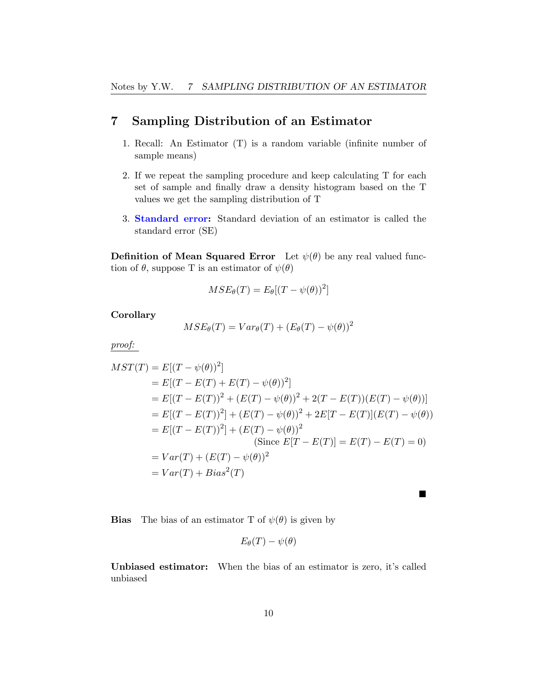## <span id="page-9-0"></span>7 Sampling Distribution of an Estimator

- 1. Recall: An Estimator (T) is a random variable (infinite number of sample means)
- 2. If we repeat the sampling procedure and keep calculating T for each set of sample and finally draw a density histogram based on the T values we get the sampling distribution of T
- 3. Standard error: Standard deviation of an estimator is called the standard error (SE)

**Definition of Mean Squared Error** Let  $\psi(\theta)$  be any real valued function of  $\theta$ , suppose T is an estimator of  $\psi(\theta)$ 

$$
MSE_{\theta}(T) = E_{\theta}[(T - \psi(\theta))^2]
$$

**Corollary** 

$$
MSE_{\theta}(T) = Var_{\theta}(T) + (E_{\theta}(T) - \psi(\theta))^2
$$

*proof:*

$$
MST(T) = E[(T - \psi(\theta))^2]
$$
  
=  $E[(T - E(T) + E(T) - \psi(\theta))^2]$   
=  $E[(T - E(T))^2 + (E(T) - \psi(\theta))^2 + 2(T - E(T))(E(T) - \psi(\theta))]$   
=  $E[(T - E(T))^2] + (E(T) - \psi(\theta))^2 + 2E[T - E(T)](E(T) - \psi(\theta))$   
=  $E[(T - E(T))^2] + (E(T) - \psi(\theta))^2$   
(Since  $E[T - E(T)] = E(T) - E(T) = 0$ )  
=  $Var(T) + (E(T) - \psi(\theta))^2$   
=  $Var(T) + Bias^2(T)$ 

**Bias** The bias of an estimator T of  $\psi(\theta)$  is given by

$$
E_{\theta}(T) - \psi(\theta)
$$

 $\blacksquare$ 

Unbiased estimator: When the bias of an estimator is zero, it's called unbiased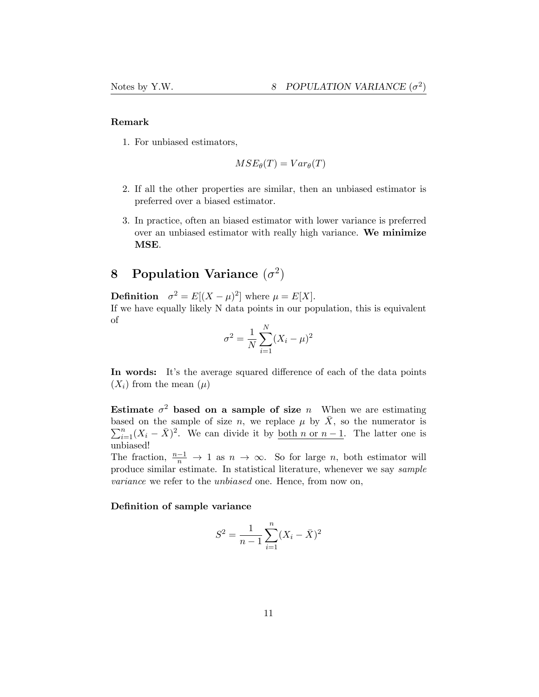### Remark

1. For unbiased estimators,

$$
MSE_{\theta}(T) = Var_{\theta}(T)
$$

- 2. If all the other properties are similar, then an unbiased estimator is preferred over a biased estimator.
- 3. In practice, often an biased estimator with lower variance is preferred over an unbiased estimator with really high variance. We minimize MSE.

# <span id="page-10-0"></span>8 Population Variance  $(\sigma^2)$

**Definition**  $\sigma^2 = E[(X - \mu)^2]$  where  $\mu = E[X]$ . If we have equally likely N data points in our population, this is equivalent of

$$
\sigma^{2} = \frac{1}{N} \sum_{i=1}^{N} (X_{i} - \mu)^{2}
$$

In words: It's the average squared difference of each of the data points  $(X_i)$  from the mean  $(\mu)$ 

Estimate  $\sigma^2$  based on a sample of size *n* When we are estimating based on the sample of size *n*, we replace  $\mu$  by  $\overline{X}$ , so the numerator is based on the sample of size *n*, we replace  $\mu$  by *X*, so the numerator is  $\sum_{i=1}^{n} (X_i - \bar{X})^2$ . We can divide it by <u>both *n* or *n* − 1</u>. The latter one is unbiased!

The fraction,  $\frac{n-1}{n} \to 1$  as  $n \to \infty$ . So for large *n*, both estimator will produce similar estimate. In statistical literature, whenever we say *sample variance* we refer to the *unbiased* one. Hence, from now on,

#### Definition of sample variance

$$
S^{2} = \frac{1}{n-1} \sum_{i=1}^{n} (X_{i} - \bar{X})^{2}
$$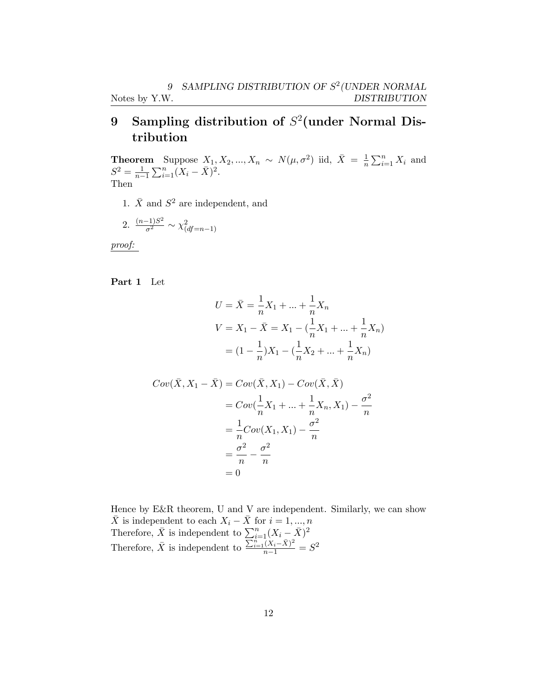# <span id="page-11-0"></span>9 Sampling distribution of *S*<sup>2</sup>(under Normal Distribution

**Theorem** Suppose  $X_1, X_2, ..., X_n \sim N(\mu, \sigma^2)$  iid,  $\bar{X} = \frac{1}{n} \sum_{i=1}^n X_i$  and  $S^2 = \frac{1}{n-1} \sum_{i=1}^n (X_i - \bar{X})^2.$ Then

1.  $\bar{X}$  and  $S^2$  are independent, and

2. 
$$
\frac{(n-1)S^2}{\sigma^2} \sim \chi^2_{(df=n-1)}
$$

*proof:*

Part 1 Let

$$
U = \bar{X} = \frac{1}{n}X_1 + \dots + \frac{1}{n}X_n
$$
  

$$
V = X_1 - \bar{X} = X_1 - (\frac{1}{n}X_1 + \dots + \frac{1}{n}X_n)
$$
  

$$
= (1 - \frac{1}{n})X_1 - (\frac{1}{n}X_2 + \dots + \frac{1}{n}X_n)
$$

$$
Cov(\bar{X}, X_1 - \bar{X}) = Cov(\bar{X}, X_1) - Cov(\bar{X}, \bar{X})
$$
  
=  $Cov(\frac{1}{n}X_1 + ... + \frac{1}{n}X_n, X_1) - \frac{\sigma^2}{n}$   
=  $\frac{1}{n}Cov(X_1, X_1) - \frac{\sigma^2}{n}$   
=  $\frac{\sigma^2}{n} - \frac{\sigma^2}{n}$   
= 0

Hence by E&R theorem, U and V are independent. Similarly, we can show  $\bar{X}$  is independent to each  $X_i - \bar{X}$  for  $i = 1, ..., n$ Therefore,  $\bar{X}$  is independent to  $\sum_{i=1}^{n} (X_i - \bar{X})^2$ Therefore,  $\bar{X}$  is independent to  $\frac{\sum_{i=1}^{n}(X_i - \bar{X})^2}{n-1} = S^2$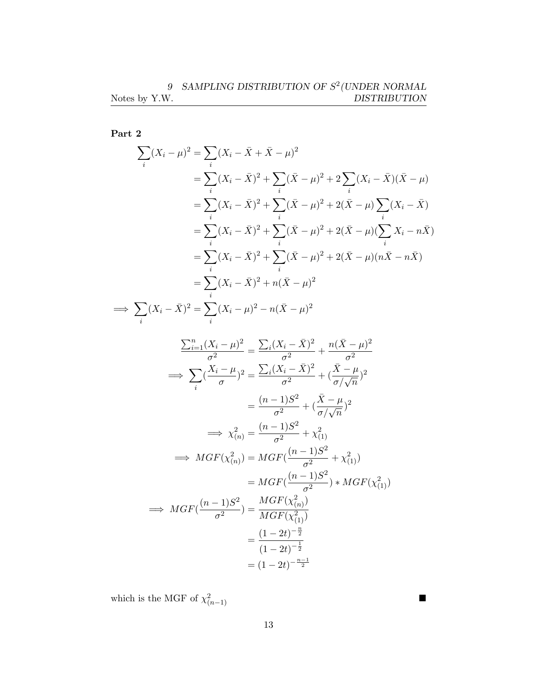Part 2

$$
\sum_{i} (X_i - \mu)^2 = \sum_{i} (X_i - \bar{X} + \bar{X} - \mu)^2
$$
  
\n
$$
= \sum_{i} (X_i - \bar{X})^2 + \sum_{i} (\bar{X} - \mu)^2 + 2 \sum_{i} (X_i - \bar{X})(\bar{X} - \mu)
$$
  
\n
$$
= \sum_{i} (X_i - \bar{X})^2 + \sum_{i} (\bar{X} - \mu)^2 + 2(\bar{X} - \mu) \sum_{i} (X_i - \bar{X})
$$
  
\n
$$
= \sum_{i} (X_i - \bar{X})^2 + \sum_{i} (\bar{X} - \mu)^2 + 2(\bar{X} - \mu) (\sum_{i} X_i - n\bar{X})
$$
  
\n
$$
= \sum_{i} (X_i - \bar{X})^2 + \sum_{i} (\bar{X} - \mu)^2 + 2(\bar{X} - \mu) (n\bar{X} - n\bar{X})
$$
  
\n
$$
= \sum_{i} (X_i - \bar{X})^2 + n(\bar{X} - \mu)^2
$$
  
\n
$$
\implies \sum_{i} (X_i - \bar{X})^2 = \sum_{i} (X_i - \mu)^2 - n(\bar{X} - \mu)^2
$$
  
\n
$$
\frac{\sum_{i=1}^{n} (X_i - \mu)^2}{\sigma^2} = \frac{\sum_{i} (X_i - \bar{X})^2}{\sigma^2} + \frac{n(\bar{X} - \mu)^2}{\sigma^2}
$$
  
\n
$$
\implies \sum_{i} (\frac{X_i - \mu}{\sigma})^2 = \frac{\sum_{i} (X_i - \bar{X})^2}{\sigma^2} + (\frac{\bar{X} - \mu}{\sigma/\sqrt{n}})^2
$$
  
\n
$$
\implies \sum_{i} (\frac{X_i - \mu}{\sigma})^2 = \frac{\sum_{i} (X_i - \bar{X})^2}{\sigma^2} + (\frac{\bar{X} - \mu}{\sigma/\sqrt{n}})^2
$$
  
\n
$$
\implies \sum_{i} (\frac{X_i - \mu}{\sigma})^2 = \frac{(n-1)S^2}{\sigma^2} + \frac{\bar{X} - \mu}{\sigma^2}
$$
  
\n
$$
\implies \mu
$$
GF $(\chi^2_{(n)}) = MGF(\frac{(n$ 

which is the MGF of  $\chi^2_{(n-1)}$ (*n*−1)

 $(1-2t)^{-\frac{1}{2}}$  $=(1-2t)^{-\frac{n-1}{2}}$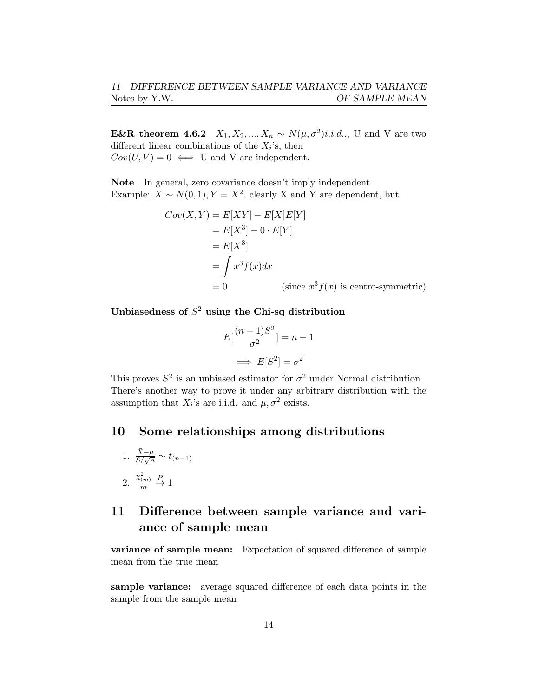**E&R** theorem 4.6.2 *X*<sub>1</sub>*, X*<sub>2</sub>*, ..., X<sub>n</sub> ∼ <i>N*(*μ,σ*<sup>2</sup>)*i.i.d.*,*,* U and V are two different linear combinations of the  $X_i$ 's, then  $Cov(U, V) = 0 \iff U$  and V are independent.

Note In general, zero covariance doesn't imply independent Example:  $X \sim N(0, 1), Y = X^2$ , clearly X and Y are dependent, but

$$
Cov(X, Y) = E[XY] - E[X]E[Y]
$$
  
=  $E[X^3] - 0 \cdot E[Y]$   
=  $E[X^3]$   
=  $\int x^3 f(x) dx$   
= 0 (since  $x^3 f(x)$  is centro-symmetric)

Unbiasedness of *S*<sup>2</sup> using the Chi-sq distribution

$$
E\left[\frac{(n-1)S^2}{\sigma^2}\right] = n-1
$$

$$
\implies E[S^2] = \sigma^2
$$

This proves  $S^2$  is an unbiased estimator for  $\sigma^2$  under Normal distribution There's another way to prove it under any arbitrary distribution with the assumption that  $X_i$ 's are i.i.d. and  $\mu, \sigma^2$  exists.

# <span id="page-13-0"></span>10 Some relationships among distributions

1. 
$$
\frac{\bar{X} - \mu}{S/\sqrt{n}} \sim t_{(n-1)}
$$
  
2. 
$$
\frac{x_{(m)}^2}{m} \stackrel{P}{\to} 1
$$

# <span id="page-13-1"></span>11 Difference between sample variance and variance of sample mean

variance of sample mean: Expectation of squared difference of sample mean from the true mean

sample variance: average squared difference of each data points in the sample from the sample mean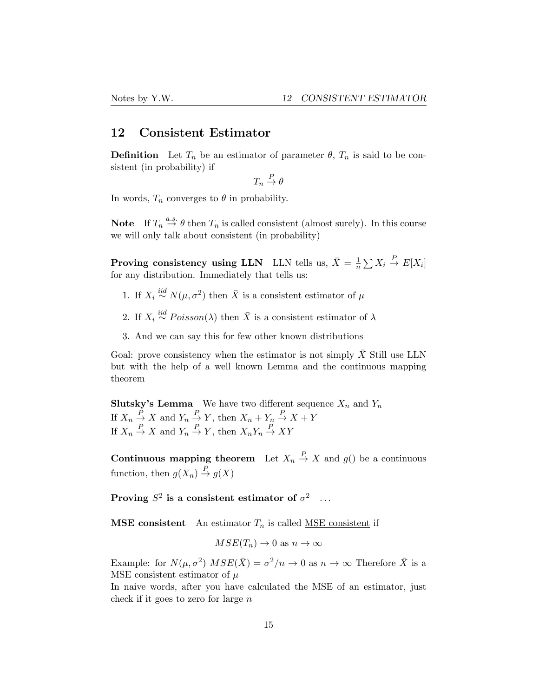### <span id="page-14-0"></span>12 Consistent Estimator

**Definition** Let  $T_n$  be an estimator of parameter  $\theta$ ,  $T_n$  is said to be consistent (in probability) if

 $T_n \stackrel{P}{\rightarrow} \theta$ 

In words,  $T_n$  converges to  $\theta$  in probability.

**Note** If  $T_n \stackrel{a.s.}{\rightarrow} \theta$  then  $T_n$  is called consistent (almost surely). In this course we will only talk about consistent (in probability)

**Proving consistency using LLN** LLN tells us,  $\bar{X} = \frac{1}{n} \sum X_i \stackrel{P}{\rightarrow} E[X_i]$ for any distribution. Immediately that tells us:

- 1. If  $X_i \stackrel{iid}{\sim} N(\mu, \sigma^2)$  then  $\bar{X}$  is a consistent estimator of  $\mu$
- 2. If  $X_i \stackrel{iid}{\sim} Poisson(\lambda)$  then  $\overline{X}$  is a consistent estimator of  $\lambda$
- 3. And we can say this for few other known distributions

Goal: prove consistency when the estimator is not simply  $\bar{X}$  Still use LLN but with the help of a well known Lemma and the continuous mapping theorem

**Slutsky's Lemma** We have two different sequence  $X_n$  and  $Y_n$ If  $X_n \stackrel{P}{\to} X$  and  $Y_n \stackrel{P}{\to} Y$ , then  $X_n + Y_n \stackrel{P}{\to} X + Y$ If  $X_n \stackrel{P}{\to} X$  and  $Y_n \stackrel{P}{\to} Y$ , then  $X_n Y_n \stackrel{P}{\to} XY$ 

**Continuous mapping theorem** Let  $X_n \stackrel{P}{\to} X$  and  $g()$  be a continuous function, then  $g(X_n) \stackrel{P}{\to} g(X)$ 

Proving  $S^2$  is a consistent estimator of  $\sigma^2$  ...

**MSE** consistent An estimator  $T_n$  is called MSE consistent if

$$
MSE(T_n) \to 0 \text{ as } n \to \infty
$$

Example: for  $N(\mu, \sigma^2)$   $MSE(\bar{X}) = \sigma^2/n \rightarrow 0$  as  $n \rightarrow \infty$  Therefore  $\bar{X}$  is a MSE consistent estimator of *µ*

In naive words, after you have calculated the MSE of an estimator, just check if it goes to zero for large *n*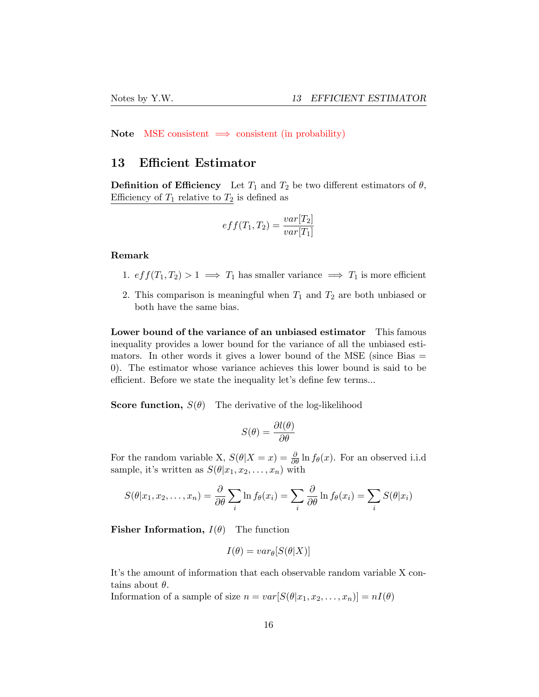Note MSE consistent  $\implies$  consistent (in probability)

### <span id="page-15-0"></span>13 Efficient Estimator

**Definition of Efficiency** Let  $T_1$  and  $T_2$  be two different estimators of  $\theta$ , Efficiency of  $T_1$  relative to  $T_2$  is defined as

$$
eff(T_1, T_2) = \frac{var[T_2]}{var[T_1]}
$$

### Remark

- 1.  $eff(T_1, T_2) > 1 \implies T_1$  has smaller variance  $\implies T_1$  is more efficient
- 2. This comparison is meaningful when *T*<sup>1</sup> and *T*<sup>2</sup> are both unbiased or both have the same bias.

Lower bound of the variance of an unbiased estimator This famous inequality provides a lower bound for the variance of all the unbiased estimators. In other words it gives a lower bound of the MSE (since Bias  $=$ 0). The estimator whose variance achieves this lower bound is said to be efficient. Before we state the inequality let's define few terms...

**Score function,**  $S(\theta)$  The derivative of the log-likelihood

$$
S(\theta) = \frac{\partial l(\theta)}{\partial \theta}
$$

For the random variable X,  $S(\theta|X=x) = \frac{\partial}{\partial \theta} \ln f_{\theta}(x)$ . For an observed i.i.d sample, it's written as  $S(\theta|x_1, x_2, \ldots, x_n)$  with

$$
S(\theta|x_1, x_2, \dots, x_n) = \frac{\partial}{\partial \theta} \sum_i \ln f_{\theta}(x_i) = \sum_i \frac{\partial}{\partial \theta} \ln f_{\theta}(x_i) = \sum_i S(\theta|x_i)
$$

**Fisher Information,**  $I(\theta)$  The function

$$
I(\theta) = var_{\theta}[S(\theta|X)]
$$

It's the amount of information that each observable random variable X contains about  $\theta$ .

Information of a sample of size  $n = var[S(\theta|x_1, x_2, \dots, x_n)] = nI(\theta)$